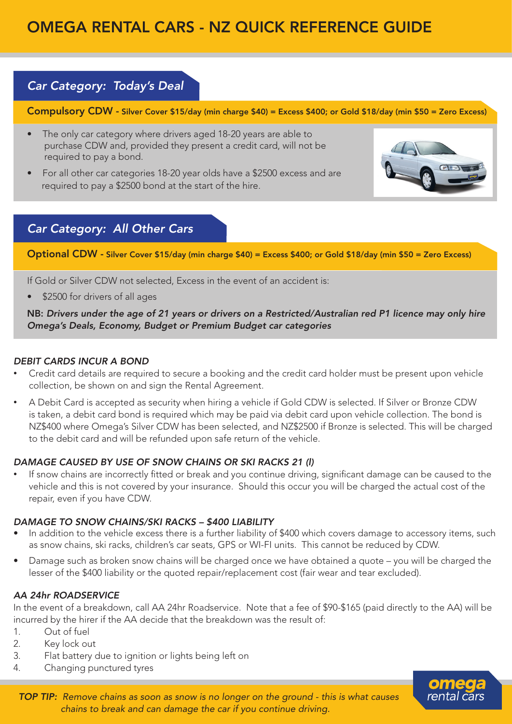# OMEGA RENTAL CARS - NZ QUICK REFERENCE GUIDE

### *Car Category: Today's Deal*

Compulsory CDW - Silver Cover \$15/day (min charge \$40) = Excess \$400; or Gold \$18/day (min \$50 = Zero Excess)

- The only car category where drivers aged 18-20 years are able to purchase CDW and, provided they present a credit card, will not be required to pay a bond.
- For all other car categories 18-20 year olds have a \$2500 excess and are required to pay a \$2500 bond at the start of the hire.



## *Car Category: All Other Cars*

Optional CDW - Silver Cover \$15/day (min charge \$40) = Excess \$400; or Gold \$18/day (min \$50 = Zero Excess)

If Gold or Silver CDW not selected, Excess in the event of an accident is:

\$2500 for drivers of all ages

NB: *Drivers under the age of 21 years or drivers on a Restricted/Australian red P1 licence may only hire Omega's Deals, Economy, Budget or Premium Budget car categories*

#### *DEBIT CARDS INCUR A BOND*

- Credit card details are required to secure a booking and the credit card holder must be present upon vehicle collection, be shown on and sign the Rental Agreement.
- A Debit Card is accepted as security when hiring a vehicle if Gold CDW is selected. If Silver or Bronze CDW is taken, a debit card bond is required which may be paid via debit card upon vehicle collection. The bond is NZ\$400 where Omega's Silver CDW has been selected, and NZ\$2500 if Bronze is selected. This will be charged to the debit card and will be refunded upon safe return of the vehicle.

#### *DAMAGE CAUSED BY USE OF SNOW CHAINS OR SKI RACKS 21 (l)*

If snow chains are incorrectly fitted or break and you continue driving, significant damage can be caused to the vehicle and this is not covered by your insurance. Should this occur you will be charged the actual cost of the repair, even if you have CDW.

#### *DAMAGE TO SNOW CHAINS/SKI RACKS – \$400 LIABILITY*

- In addition to the vehicle excess there is a further liability of \$400 which covers damage to accessory items, such as snow chains, ski racks, children's car seats, GPS or WI-FI units. This cannot be reduced by CDW.
- Damage such as broken snow chains will be charged once we have obtained a quote you will be charged the lesser of the \$400 liability or the quoted repair/replacement cost (fair wear and tear excluded).

#### *AA 24hr ROADSERVICE*

In the event of a breakdown, call AA 24hr Roadservice. Note that a fee of \$90-\$165 (paid directly to the AA) will be incurred by the hirer if the AA decide that the breakdown was the result of:

- 1. Out of fuel
- 2. Key lock out
- 3. Flat battery due to ignition or lights being left on
- 4. Changing punctured tyres



*TOP TIP: Remove chains as soon as snow is no longer on the ground - this is what causes chains to break and can damage the car if you continue driving.*